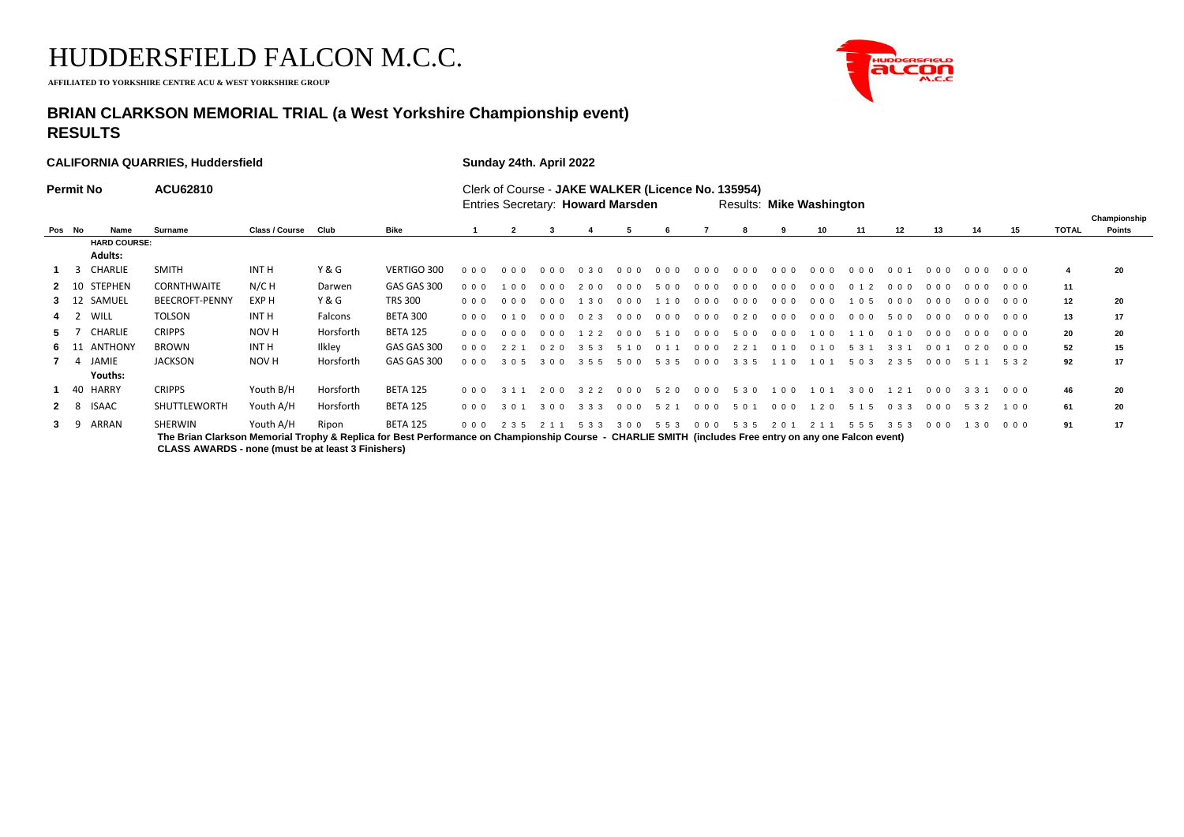**AFFILIATED TO YORKSHIRE CENTRE ACU & WEST YORKSHIRE GROUP**



## **BRIAN CLARKSON MEMORIAL TRIAL (a West Yorkshire Championship event) RESULTS**

|                  |              |                                       | <b>CALIFORNIA QUARRIES, Huddersfield</b>                                                                                                                          | Sunday 24th. April 2022 |           |                 |                        |                                                                                                                            |        |             |             |       |                        |       |         |       |                       |             |                        |       |       |              |              |
|------------------|--------------|---------------------------------------|-------------------------------------------------------------------------------------------------------------------------------------------------------------------|-------------------------|-----------|-----------------|------------------------|----------------------------------------------------------------------------------------------------------------------------|--------|-------------|-------------|-------|------------------------|-------|---------|-------|-----------------------|-------------|------------------------|-------|-------|--------------|--------------|
| <b>Permit No</b> |              |                                       | <b>ACU62810</b>                                                                                                                                                   |                         |           |                 |                        | Clerk of Course - JAKE WALKER (Licence No. 135954)<br>Entries Secretary: Howard Marsden<br><b>Results: Mike Washington</b> |        |             |             |       |                        |       |         |       |                       |             |                        |       |       |              | Championship |
|                  | Pos No       | Name                                  | Surname                                                                                                                                                           | Class / Course          | Club      | Bike            |                        |                                                                                                                            |        |             |             |       |                        |       |         | 10    | 11                    | 12          | 13                     | 14    | 15    | <b>TOTAL</b> | Points       |
|                  |              | <b>HARD COURSE:</b><br><b>Adults:</b> |                                                                                                                                                                   |                         |           |                 |                        |                                                                                                                            |        |             |             |       |                        |       |         |       |                       |             |                        |       |       |              |              |
|                  |              | 1 3 CHARLIE                           | <b>SMITH</b>                                                                                                                                                      | <b>INT H</b>            | Y & G     | VERTIGO 300     | 000                    | 000                                                                                                                        | 000    | 0 3 0       | 000         | 000   | $0\quad 0\quad 0\quad$ | 000   | 000     | 000   | 000                   | $0 \t0 \t1$ | 000                    | 000   | 000   |              | 20           |
|                  | $2 \quad 10$ | <b>STEPHEN</b>                        | <b>CORNTHWAITE</b>                                                                                                                                                | N/C H                   | Darwen    | GAS GAS 300     | $00$ 0                 | 1 0 0                                                                                                                      | 000    | 200         | 000         | 500   | 000                    | 000   | 000     | 000   | $\overline{2}$<br>0 1 | 000         | 000                    | 000   | 000   | 11           |              |
|                  | $3 \t12$     | SAMUEL                                | <b>BEECROFT-PENNY</b>                                                                                                                                             | EXP H                   | Y & G     | <b>TRS 300</b>  | 000                    | 000                                                                                                                        | 000    | 30          | 000         | 110   | 000                    | 000   | 000     | 000   | 1 0 5                 | 000         | 000                    | 000   | 000   | 12           | 20           |
|                  | $4 \quad 2$  | WILL                                  | <b>TOLSON</b>                                                                                                                                                     | INT H                   | Falcons   | BETA 300        | $00$ $00$              | 0, 1, 0                                                                                                                    | $00$ 0 | 023         | 000         | 000   | 000                    | 020   | 000     | 000   | 000                   | 500         | 000                    | 000   | 000   | 13           | 17           |
|                  | 5 7          | CHARLIE                               | <b>CRIPPS</b>                                                                                                                                                     | NOV H                   | Horsforth | <b>BETA 125</b> | $00$ $00$              | 0 <sub>0</sub>                                                                                                             | 000    | 122         | 000         | 5 1 0 | $0\quad 0\quad 0\quad$ | 500   | 000     | 1 0 0 | 1 1 0                 | 0, 1, 0     | $0\quad 0\quad 0\quad$ | 000   | 000   | 20           | 20           |
|                  | 6 11         | <b>ANTHONY</b>                        | <b>BROWN</b>                                                                                                                                                      | INT H                   | Ilkley    | GAS GAS 300     | $00$ 0                 | 2 2 1                                                                                                                      | 020    | 3 5 3       | 510         | 0 1 1 | 0 <sub>0</sub>         | 2 2 1 | 010     | 010   | 5 3 1                 | 3 3 1       | 001                    | 020   | 000   | 52           | 15           |
|                  | 7 4          | JAMIE<br>Youths:                      | <b>JACKSON</b>                                                                                                                                                    | NOV H                   | Horsforth | GAS GAS 300     | $00$ $00$              | 3 0 5                                                                                                                      | 3 0 0  | 355         | 500         | 5 3 5 | $0\quad0\quad0$        | 3 3 5 | 1 0     | 1 0 1 | 5 0 3                 | 2 3 5       | 000                    | 5 1 1 | 5 3 2 | 92           | 17           |
|                  | 40           | HARRY                                 | <b>CRIPPS</b>                                                                                                                                                     | Youth B/H               | Horsforth | <b>BETA 125</b> | $00$ $00$              | 3 1 1                                                                                                                      | 200    | 3 2 2       | 000 520 000 |       |                        | 5 3 0 | 100 101 |       | 300                   | 121         | 000                    | 3 3 1 | 000   | 46           | 20           |
|                  | $2 \quad 8$  | <b>ISAAC</b>                          | SHUTTLEWORTH                                                                                                                                                      | Youth A/H               | Horsforth | <b>BETA 125</b> | $0\,0\,0$              | 301                                                                                                                        | 300    | 3 3 3       | 000 521     |       | $0\quad0\quad0$        | 501   | 000     | 1 2 0 | 5 1 5                 | 033         | 000 532                |       | 100   | 61           | 20           |
| 3                | - 9          | ARRAN                                 | SHERWIN<br>The Brian Clarkson Memorial Trophy & Replica for Best Performance on Championship Course - CHARLIE SMITH (includes Free entry on any one Falcon event) | Youth A/H               | Ripon     | <b>BETA 125</b> | $0\quad 0\quad 0\quad$ | 2 3 5                                                                                                                      |        | 2 1 1 5 3 3 | 300 553     |       | $0\quad0\quad0$        | 5 3 5 | 2 0 1   |       | 2 1 1 5 5 5           | 353         | 000                    | 1 3 0 | 000   | 91           | 17           |

**CLASS AWARDS - none (must be at least 3 Finishers)**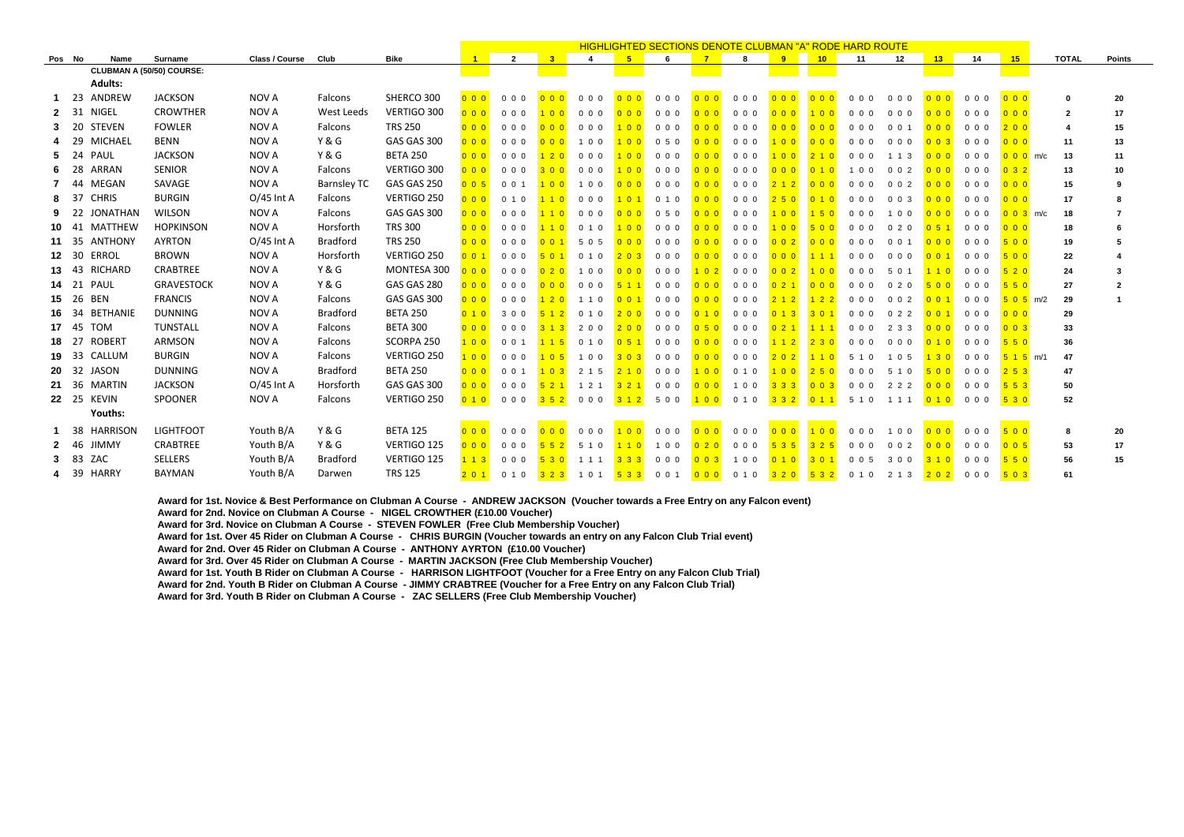|            |      |                           |                   |                       |                    |                 |                   |                |                |                |                       |                |                                          | <b>HIGHLIGHTED SECTIONS DENOTE CLUBMAN "A" RODE HARD ROUTE</b> |                  |                |                                  |                  |                  |        |                  |              |                         |
|------------|------|---------------------------|-------------------|-----------------------|--------------------|-----------------|-------------------|----------------|----------------|----------------|-----------------------|----------------|------------------------------------------|----------------------------------------------------------------|------------------|----------------|----------------------------------|------------------|------------------|--------|------------------|--------------|-------------------------|
| Pos No     |      | Name                      | Surname           | <b>Class / Course</b> | Club               | <b>Bike</b>     |                   | $\overline{2}$ | 3 <sup>2</sup> | $\overline{4}$ | 5                     | -6             | 7                                        | 8                                                              | 9 <sup>1</sup>   | 10             | 11                               | 12               | 13 <sup>2</sup>  | 14     | 15               | <b>TOTAL</b> | <b>Points</b>           |
|            |      | CLUBMAN A (50/50) COURSE: |                   |                       |                    |                 |                   |                |                |                |                       |                |                                          |                                                                |                  |                |                                  |                  |                  |        |                  |              |                         |
|            |      | <b>Adults:</b>            |                   |                       |                    |                 |                   |                |                |                |                       |                |                                          |                                                                |                  |                |                                  |                  |                  |        |                  |              |                         |
|            | -23  | ANDREW                    | <b>JACKSON</b>    | NOV A                 | Falcons            | SHERCO 300      | $0\quad0\quad0$   | 000            | 000            | 000            | 0 <sub>0</sub>        | 000            | 000                                      | $0\quad0\quad0$                                                | 000              | 000            | 000                              | 000              | 0 <sub>0</sub>   | 000    | 000              | $\Omega$     | 20                      |
|            | 31   | NIGEL                     | <b>CROWTHER</b>   | NOV A                 | West Leeds         | VERTIGO 300     | $0\quad 0\quad 0$ | 000            | 100            | 000            | 0 <sub>0</sub>        | 000            | 0 <sub>0</sub>                           | 000                                                            | $0\ 0\ 0$        | 100            | 000                              | 0 <sub>0</sub>   | 0 <sub>0</sub>   | 000    | 000              | 2            | 17                      |
|            | 20   | <b>STEVEN</b>             | <b>FOWLER</b>     | NOV A                 | Falcons            | <b>TRS 250</b>  | 0 <sub>0</sub>    | 000            | 0 <sub>0</sub> | 000            | 100                   | 000            | 0 <sub>0</sub>                           | 000                                                            | 0 <sub>0</sub>   | 000            | $00$ 0                           | 0 <sub>0</sub> 1 | 0 <sub>0</sub>   | 000    | 200              | 4            | 15                      |
|            | - 29 | <b>MICHAEL</b>            | <b>BENN</b>       | NOV A                 | Y & G              | GAS GAS 300     | 000               | 000            | 000            | 100            | 100                   | 0.5.0          | 0 <sub>0</sub>                           | 000                                                            | 100              | 000            | 000                              | 0 <sub>0</sub>   | $00$ 3           | 000    | 000              | 11           | 13                      |
|            | - 24 | PAUL                      | <b>JACKSON</b>    | NOV A                 | Y & G              | <b>BETA 250</b> | 0 <sub>0</sub>    | 000            | 120            | 000            | 100                   | 000            | 0 <sub>0</sub>                           | 000                                                            | 100              | 210            | $0\quad0\quad0$                  | 1 1 3            | 0 <sub>0</sub>   | 000    | $000$ m/c        | 13           | 11                      |
| 6          | - 28 | ARRAN                     | <b>SENIOR</b>     | NOV A                 | Falcons            | VERTIGO 300     | 000               | 000            | 300            | 000            | 100                   | 000            | 0 <sub>0</sub>                           | 000                                                            | 0 <sub>0</sub>   | 010            | 100                              | $0\quad0\quad2$  | 0 <sub>0</sub>   | 000    | 032              | 13           | 10                      |
|            | 44   | <b>MEGAN</b>              | SAVAGE            | NOV A                 | <b>Barnsley TC</b> | GAS GAS 250     | 0 0 5             | 001            | 100            | 100            | 0 <sub>0</sub>        | 000            | 0 <sub>0</sub>                           | 000                                                            | 2 1 2            | 000            | 000                              | $0 \t0 \t2$      | 0 <sub>0</sub>   | 000    | 000              | 15           | 9                       |
| 8          | 37   | <b>CHRIS</b>              | <b>BURGIN</b>     | $O/45$ Int A          | Falcons            | VERTIGO 250     | 0 <sub>0</sub>    | 0 1 0          | 110            | 000            | 101                   | 010            | 0 <sub>0</sub>                           | 000                                                            | 250              | 010            | 0 <sub>0</sub>                   | $0\quad0\quad3$  | 0 <sub>0</sub>   | $00$ 0 | 000              | 17           | 8                       |
|            | - 22 | <b>JONATHAN</b>           | <b>WILSON</b>     | NOV A                 | Falcons            | GAS GAS 300     | 000               | 000            | 110            | 000            | 0 <sub>0</sub>        | 050            | 000                                      | 000                                                            | 100              | $150$          | 000                              | 1 0 0            | 000              | 000    | $0 \t0 \t3$ m/c  | 18           |                         |
| $10 \t 41$ |      | <b>MATTHEW</b>            | <b>HOPKINSON</b>  | NOV A                 | Horsforth          | <b>TRS 300</b>  | 0 <sub>0</sub>    | 000            |                | 0, 1, 0        | 100                   | 000            | 0 <sub>0</sub>                           | 000                                                            | 100              | 500            | 000                              | 020              | 0,5,1            | 000    | 000              | 18           |                         |
| 11 35      |      | <b>ANTHONY</b>            | <b>AYRTON</b>     | $O/45$ Int A          | <b>Bradford</b>    | <b>TRS 250</b>  | 0 <sub>0</sub>    | 000            | $0 \t0 \t1$    | 5 0 5          | 0 <sub>0</sub>        | 000            | 0 <sub>0</sub>                           | 000                                                            | $0 \t0 \t2$      | 000            | $\Omega$<br>$\Omega$<br>$\Omega$ | 0 <sub>0</sub> 1 | 000              | 000    | 500              | 19           |                         |
| 12 30      |      | <b>ERROL</b>              | <b>BROWN</b>      | NOV A                 | Horsforth          | VERTIGO 250     | $0 \t0 \t1$       | 000            | 501            | 010            | 203                   | 000            | 000                                      | 000                                                            | 000              | 111            | 000                              | 000              | 001              | 000    | 500              | 22           |                         |
| 13.        | -43  | <b>RICHARD</b>            | CRABTREE          | NOV A                 | Y & G              | MONTESA 300     | $00$ 0            | 0 <sub>0</sub> | 020            | 100            | 000                   | 0 <sub>0</sub> | $102$                                    | 000                                                            | 0 <sub>0</sub> 2 | 100            | 000                              | 501              | 110              | 000    | 520              | 24           |                         |
| 14         | 21   | PAUL                      | <b>GRAVESTOCK</b> | NOV A                 | Y & G              | GAS GAS 280     | 0 <sub>0</sub>    | 000            | 0 <sub>0</sub> | 000            |                       | 000            | 0 <sub>0</sub>                           | 000                                                            | 0, 2, 1          | 0 <sub>0</sub> | 000                              | 020              | 500              | 000    | 550              | 27           | $\overline{\mathbf{2}}$ |
| 15.        | 26   | BEN                       | <b>FRANCIS</b>    | NOV A                 | Falcons            | GAS GAS 300     | 000               | 000            | 120            | 1 1 0          | $0 \t 0 \t 1$         | 0 <sub>0</sub> | 0 <sub>0</sub>                           | 000                                                            | 212              | $122$          | 000                              | $0\quad0\quad2$  | 0 <sub>0</sub> 1 | 000    | $505$ m/2        | 29           |                         |
|            | -34  | <b>BETHANIE</b>           | <b>DUNNING</b>    | NOV A                 | <b>Bradford</b>    | <b>BETA 250</b> | $01$ 0            | 300            |                | 010            | 200                   | 000            | 010                                      | 000                                                            | $0 \; 1 \; 3$    | 301            | 000                              | 022              | 0, 0, 1          | 000    | 000              | 29           |                         |
| 17 45      |      | <b>TOM</b>                | TUNSTALL          | NOV A                 | Falcons            | <b>BETA 300</b> | 000               | 000            |                | 200            | 200                   | 000            | 050                                      | 000                                                            | 021              | 111            | 000                              | 2 3 3            | 0 <sub>0</sub>   | 000    | 0 <sub>0</sub> 3 | 33           |                         |
| 18.        | - 27 | <b>ROBERT</b>             | ARMSON            | NOV A                 | Falcons            | SCORPA 250      | 100               | $0 \t0 \t1$    |                | 0, 1, 0        | 0,5,1                 | 000            | 0 <sub>0</sub>                           | 000                                                            | 112              | 230            | 000                              | 000              | 0, 1, 0          | 000    | 550              | 36           |                         |
| 19 33      |      | CALLUM                    | <b>BURGIN</b>     | NOV A                 | Falcons            | VERTIGO 250     | 100               | 0 <sub>0</sub> | 105            | 100            | 303                   | 0 <sub>0</sub> | 0 <sub>0</sub>                           | 000                                                            | 202              | 110            | 5 1<br>$\Omega$                  | 1 0 5            | 130              | 000    | $515$ m/1        | 47           |                         |
| 20         | 32   | JASON                     | <b>DUNNING</b>    | NOV A                 | <b>Bradford</b>    | <b>BETA 250</b> | 0 <sub>0</sub>    | 001            | $1 \t0 \t3$    | 2 1 5          | 210                   | 000            | 100                                      | 0, 1, 0                                                        | 100              | $250$          | $\Omega$<br>0 <sub>0</sub>       | 5 1 0            | 500              | 000    | 253              | 47           |                         |
| 21 36      |      | <b>MARTIN</b>             | <b>JACKSON</b>    | $O/45$ Int A          | Horsforth          | GAS GAS 300     | 000               | 000            | 521            | 1 2 1          | 321                   | 000            | 000                                      | 100                                                            | 333              | $00$ 3         | 000                              | 222              | 0 <sub>0</sub>   | 000    | 553              | 50           |                         |
|            |      | <b>22</b> 25 KEVIN        | SPOONER           | NOV A                 | Falcons            | VERTIGO 250     | 0 1 0             | 000            | 352            | 000            | 3 1 2                 | 500            | <b>100</b>                               | 0 1 0                                                          | $332$            | 011            | 5 1 0                            | 1 1 1            | 010              | 000    | 530              | 52           |                         |
|            |      | Youths:                   |                   |                       |                    |                 |                   |                |                |                |                       |                |                                          |                                                                |                  |                |                                  |                  |                  |        |                  |              |                         |
|            | 38   | <b>HARRISON</b>           | <b>LIGHTFOOT</b>  | Youth B/A             | Y&G                | <b>BETA 125</b> | 0 <sub>0</sub>    | 000            | 0 <sub>0</sub> | 0 <sub>0</sub> |                       | 0 <sub>0</sub> | 0 <sub>0</sub>                           | $0\quad0\quad0$                                                | 0 <sub>0</sub>   | 100            | 0 <sub>0</sub>                   | 1 0 0            |                  | 000    | 500              | 8            | 20                      |
|            | - 46 | <b>JIMMY</b>              | CRABTREE          | Youth B/A             | Y&G                | VERTIGO 125     | $0\quad 0\quad 0$ | 000            | 552            | 5 1 0          | 10                    | 1 0 0          | $\begin{array}{c} 0 & 2 & 0 \end{array}$ | $0\,0\,0$                                                      | 535              | 325            | $0\,0\,0$                        | $0\quad0\quad2$  | 000              | 000    | 005              | 53           | 17                      |
|            | 83   | ZAC                       | <b>SELLERS</b>    | Youth B/A             | Bradford           | VERTIGO 125     | 113               | 000            | 530            | 1 1 1          | $3 \times 3 \times 3$ | 0 <sub>0</sub> | $00$ 3                                   | 1 0 0                                                          | 0, 1, 0          | 301            | $0 \quad 0 \quad 5$              | 300              | 310              | 000    | 550              | 56           | 15                      |
|            | - 39 | <b>HARRY</b>              | <b>BAYMAN</b>     | Youth B/A             | Darwen             | <b>TRS 125</b>  | 201               | 0 1 0          | 323            | 1 0 1          | 533                   | 0 0 1          | 000                                      | 0 1 0                                                          | $320$            | 532            | 0 1 0                            | 2 1 3            | 202              | 000    | 503              | 61           |                         |
|            |      |                           |                   |                       |                    |                 |                   |                |                |                |                       |                |                                          |                                                                |                  |                |                                  |                  |                  |        |                  |              |                         |

**Award for 1st. Novice & Best Performance on Clubman A Course - ANDREW JACKSON (Voucher towards a Free Entry on any Falcon event) Award for 2nd. Novice on Clubman A Course - NIGEL CROWTHER (£10.00 Voucher) Award for 3rd. Novice on Clubman A Course - STEVEN FOWLER (Free Club Membership Voucher) Award for 1st. Over 45 Rider on Clubman A Course - CHRIS BURGIN (Voucher towards an entry on any Falcon Club Trial event) Award for 2nd. Over 45 Rider on Clubman A Course - ANTHONY AYRTON (£10.00 Voucher) Award for 3rd. Over 45 Rider on Clubman A Course - MARTIN JACKSON (Free Club Membership Voucher) Award for 1st. Youth B Rider on Clubman A Course - HARRISON LIGHTFOOT (Voucher for a Free Entry on any Falcon Club Trial) Award for 2nd. Youth B Rider on Clubman A Course - JIMMY CRABTREE (Voucher for a Free Entry on any Falcon Club Trial) Award for 3rd. Youth B Rider on Clubman A Course - ZAC SELLERS (Free Club Membership Voucher)**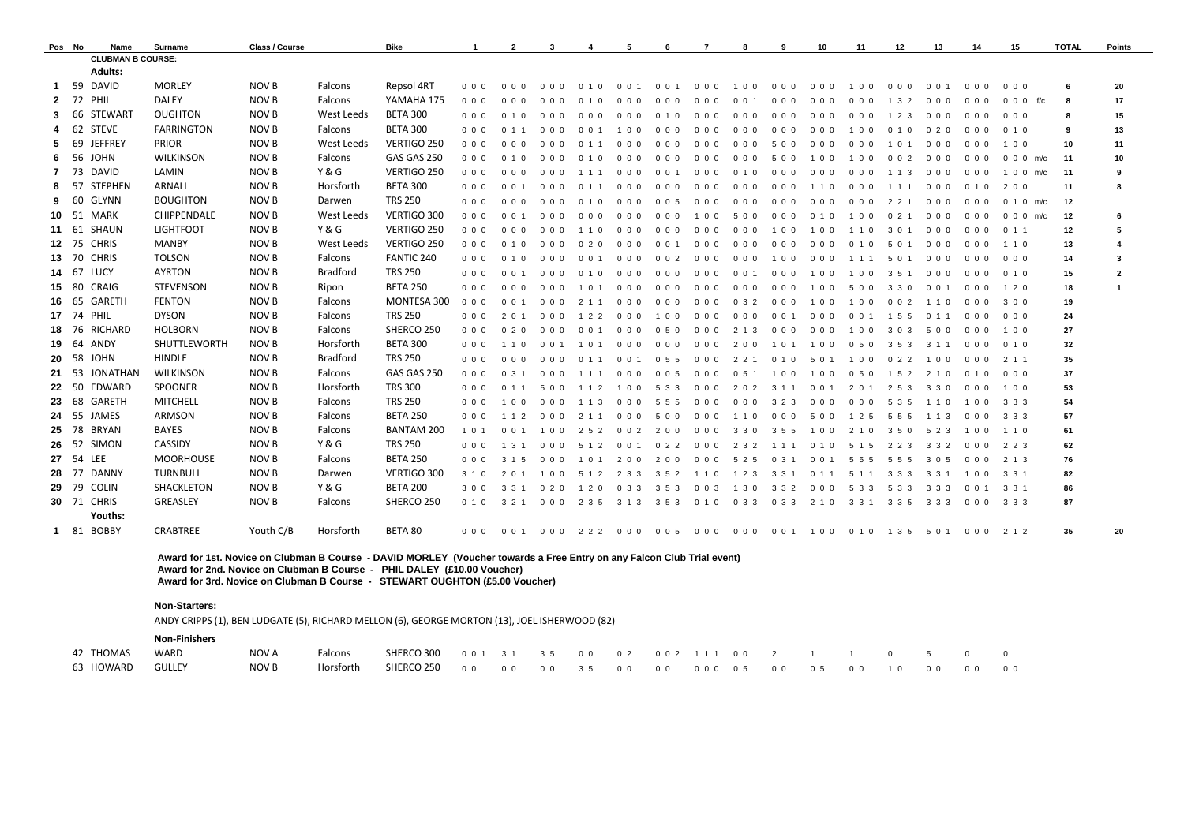| Pos No           |       | Name                     | Surname            | Class / Course |                   | <b>Bike</b>       |                   | $\overline{2}$   | -3                               |                         | 5                                | -6          |           |                        | 9     | 10             | 11                   | 12        | 13        | 14      | 15        | <b>TOTAL</b> | <b>Points</b>  |
|------------------|-------|--------------------------|--------------------|----------------|-------------------|-------------------|-------------------|------------------|----------------------------------|-------------------------|----------------------------------|-------------|-----------|------------------------|-------|----------------|----------------------|-----------|-----------|---------|-----------|--------------|----------------|
|                  |       | <b>CLUBMAN B COURSE:</b> |                    |                |                   |                   |                   |                  |                                  |                         |                                  |             |           |                        |       |                |                      |           |           |         |           |              |                |
|                  |       | <b>Adults:</b>           |                    |                |                   |                   |                   |                  |                                  |                         |                                  |             |           |                        |       |                |                      |           |           |         |           |              |                |
| -1               | - 59  | DAVID                    | <b>MORLEY</b>      | NOV B          | Falcons           | Repsol 4RT        | 000               | 000              | 000                              | 010                     | 0 0 1                            | $0 \t0 \t1$ | 000       | 100                    | 000   | 000            | 100                  | 000       | 001       | 000     | 000       | - 6          | 20             |
| 2                | 72    | PHIL                     | <b>DALEY</b>       | NOV B          | Falcons           | YAMAHA 175        | 000               | 000              | 000                              | 010                     | 000                              | 000         | 000       | 001                    | 000   | 000            | $0\,0\,0$            | 1 3 2     | 000       | 000     | 0 0 0 f/c | 8            | 17             |
| 3                | 66    | <b>STEWART</b>           | <b>OUGHTON</b>     | NOV B          | West Leeds        | <b>BETA 300</b>   | $00$ $00$         | 010              | 000                              | 000                     | 000                              | 010         | 000       | $0\quad 0\quad 0\quad$ | 000   | 0 <sub>0</sub> | $0\,0\,0$            | 1 2 3     | 000       | 000     | 000       | 8            | 15             |
|                  | 62    | <b>STEVE</b>             | <b>FARRINGTON</b>  | NOV B          | Falcons           | <b>BETA 300</b>   | 000               | 0, 1, 1          | 000                              | 0 0 1                   | 100                              | 000         | 000       | 000                    | 000   | 000            | 100                  | 010       | 020       | 000     | 010       | -9           | 13             |
| -5               | 69    | <b>JEFFREY</b>           | <b>PRIOR</b>       | NOV B          | <b>West Leeds</b> | VERTIGO 250       | 000               | 000              | 000                              | 0 1 1                   | 0 O<br>$\Omega$                  | 000         | 000       | 000                    | 500   | 000            | 000                  | 101       | 000       | 000     | 100       | 10           | 11             |
| -6               | 56    | <b>JOHN</b>              | <b>WILKINSON</b>   | NOV B          | Falcons           | GAS GAS 250       | 000               | 010              | 000                              | $^{\circ}$<br>$\cdot$ 0 | 000                              | 000         | 000       | 000                    | 500   | 100            | 0 <sub>0</sub><br>-1 | $0\,0\,2$ | 000       | 000     | 0 0 0 m/c | 11           | 10             |
|                  | - 73  | <b>DAVID</b>             | LAMIN              | NOV B          | Y&G               | VERTIGO 250       | 000               | 000              | 000                              | 111                     | 000                              | 001         | 000       | 0 1 0                  | 000   | 000            | 000                  | 1 1 3     | 000       | 000     | 1 0 0 m/c | 11           | 9              |
|                  | -57   | <b>STEPHEN</b>           | ARNALL             | NOV B          | Horsforth         | <b>BETA 300</b>   | $00$ $00$         | 0 0 1            | 000                              | 0, 1, 1                 | 0 O<br>$\Omega$                  | 000         | 000       | 000                    | 000   | 110            | 000                  | 1 1 1     | 000       | 010     | 200       | 11           | 8              |
| -9               | 60    | GLYNN                    | <b>BOUGHTON</b>    | <b>NOV B</b>   | Darwen            | <b>TRS 250</b>    | 000               | 000              | 0 <sub>0</sub>                   | 010                     | 000                              | 005         | 000       | 000                    | 000   | 000            | 000                  | 2 2 1     | 000       | 000     | 0 1 0 m/c | 12           |                |
|                  |       | <b>10 51 MARK</b>        | <b>CHIPPENDALE</b> | NOV B          | <b>West Leeds</b> | VERTIGO 300       | 000               | 001              | 000                              | 000                     | 000                              | 000         | 100       | 500                    | 000   | 0 1 0          | 100                  | 021       | 000       | 000     | 0 0 0 m/c | 12           | 6              |
| 11 61            |       | SHAUN                    | <b>LIGHTFOOT</b>   | NOV B          | <b>Y &amp; G</b>  | VERTIGO 250       | 000               | 000              | 000                              | 1 1 0                   | 000                              | 000         | 000       | 000                    | 100   | 100            | 1 1 0                | 3 0 1     | 000       | 000     | 0 1 1     | 12           | 5              |
| 12 <sup>12</sup> | - 75  | <b>CHRIS</b>             | <b>MANBY</b>       | NOV B          | <b>West Leeds</b> | VERTIGO 250       | $0\quad 0\quad 0$ | 010              | 000                              | 020                     | 000                              | 001         | 000       | 000                    | 000   | 000            | 0 1 0                | 5 0 1     | 000       | 000     | 110       | 13           | 4              |
|                  | 13 70 | <b>CHRIS</b>             | <b>TOLSON</b>      | NOV B          | Falcons           | FANTIC 240        | 000               | 0 1 0            | $\Omega$<br>$\Omega$<br>$\Omega$ | 00                      | 000                              | 002         | 000       | 000                    | 100   | 0 O<br>- 0     | 1 1 1                | 5 0 1     | 0, 0, 0   | 000     | 000       | 14           | 3              |
| 14 67            |       | LUCY                     | <b>AYRTON</b>      | <b>NOV B</b>   | <b>Bradford</b>   | <b>TRS 250</b>    | 000               | 0 0 1            | 000                              | 010                     | 000                              | 000         | 000       | $0 \t0 \t1$            | 000   | 100            | 100                  | 351       | 000       | 000     | 010       | 15           | $\overline{2}$ |
| 15               | - 80  | CRAIG                    | <b>STEVENSON</b>   | NOV B          | Ripon             | <b>BETA 250</b>   | 000               | 000              | 000                              | 101                     | 0 <sub>0</sub><br>$\overline{0}$ | 000         | 000       | 000                    | 000   | 100            | 500                  | 330       | $0\,0\,1$ | 000     | 120       | 18           | $\mathbf{1}$   |
|                  | 16 65 | GARETH                   | <b>FENTON</b>      | NOV B          | Falcons           | MONTESA 300       | $0\quad 0\quad 0$ | 001              | 0 <sub>0</sub>                   | 2 1 1                   | 000                              | 000         | 000       | 032                    | 000   | 100            | 100                  | $0\,0\,2$ | 110       | 000     | 300       | 19           |                |
| 17 74            |       | <b>PHIL</b>              | <b>DYSON</b>       | NOV B          | Falcons           | <b>TRS 250</b>    | $0\quad 0\quad 0$ | 2 0 1            | 000                              | 1 2 2                   | 000                              | 100         | 000       | 000                    | 0 0 1 | 000            | 0 0 1                | 1 5 5     | 0 1 1     | 000     | 000       | 24           |                |
| 18               | - 76  | <b>RICHARD</b>           | <b>HOLBORN</b>     | NOV B          | Falcons           | SHERCO 250        | 000               | 020              | 000                              | 001                     | 000                              | 050         | 000       | 2 1 3                  | 000   | 000            | 100                  | 303       | 500       | 000     | 100       | 27           |                |
| 19               | - 64  | ANDY                     | SHUTTLEWORTH       | NOV B          | Horsforth         | <b>BETA 300</b>   | 000               | 1 1 0            | 0 <sub>0</sub>                   | 10                      | 000                              | 000         | 000       | 200                    | 101   | 100            | 050                  | 353       | 3 1 1     | 000     | 0 1 0     | 32           |                |
| 20 58            |       | <b>JOHN</b>              | <b>HINDLE</b>      | NOV B          | Bradford          | <b>TRS 250</b>    | 000               | 000              | 0 <sub>0</sub><br>$\Omega$       | 011                     | 0 0 1                            | 0 5 5       | 000       | 2 2 1                  | 0 1 0 | 5 0 1          | 100                  | 022       | 100       | 000     | 2 1 1     | 35           |                |
| 21               | - 53  | <b>JONATHAN</b>          | <b>WILKINSON</b>   | NOV B          | Falcons           | GAS GAS 250       | 000               | 031              | 000                              | 1 1 1                   | 0 O<br>$\Omega$                  | 0 0 5       | 000       | 051                    | 100   | 100            | 050                  | 1 5 2     | 210       | 010     | 000       | 37           |                |
| 22               | - 50  | EDWARD                   | SPOONER            | NOV B          | Horsforth         | <b>TRS 300</b>    | 000               | 011              | 5 0 0                            | 1 1 2                   | 100                              | 5 3 3       | 000       | 202                    | 3 1 1 | $0 \t0 \t1$    | 2 0 1                | 2 5 3     | 330       | 000     | 100       | 53           |                |
|                  | 23 68 | <b>GARETH</b>            | <b>MITCHELL</b>    | NOV B          | Falcons           | <b>TRS 250</b>    | 000               | 100              | 000                              | 1 1 3                   | 000                              | 555         | 000       | 000                    | 323   | 000            | 000                  | 5 3 5     | 1 1 0     | 100     | 333       | 54           |                |
| 24.              | 55    | JAMES                    | ARMSON             | NOV B          | Falcons           | <b>BETA 250</b>   | 000               | 1 1 2            | 000                              | 2 1 1                   | 000                              | 500         | 000       | 110                    | 000   | 500            | 1 2 5                | 5 5 5     | 1 1 3     | 000     | 333       | 57           |                |
| 25               | 78    | <b>BRYAN</b>             | <b>BAYES</b>       | NOV B          | Falcons           | <b>BANTAM 200</b> | 1 0 1             | 0 <sub>0</sub> 1 | 100                              | 2 5 2                   | $0\quad0\quad2$                  | 200         | 000       | 330                    | 355   | 100            | 2 1 0                | 350       | 5 2 3     | 100     | 110       | 61           |                |
| 26               | - 52  | SIMON                    | CASSIDY            | NOV B          | Y & G             | <b>TRS 250</b>    | 000               | 131              | 00<br>$\Omega$                   | 5 1 2                   | 001                              | 022         | 000       | 2 3 2                  | 1 1 1 | 010            | 5 1 5                | 223       | 3 3 2     | 000     | 223       | 62           |                |
| 27 54            |       | LEE                      | <b>MOORHOUSE</b>   | NOV B          | Falcons           | <b>BETA 250</b>   | 000               | 3 1 5            | 000                              | 10                      | 200                              | 200         | 000       | 5 2 5                  | 031   | $0\,0\,1$      | 5 5 5                | 555       | 3 0 5     | 000     | 2 1 3     | 76           |                |
| 28               | - 77  | DANNY                    | <b>TURNBULL</b>    | NOV B          | Darwen            | VERTIGO 300       | 3 1 0             | 2 0 1            | 100                              | 5 1 2                   | 2 3 3                            | 352         | 110       | 1 2 3                  | 3 3 1 | 011            | 5 1 1                | 3 3 3     | 3 3 1     | 100     | 331       | 82           |                |
|                  |       | <b>29 79 COLIN</b>       | SHACKLETON         | NOV B          | Y & G             | <b>BETA 200</b>   | 300               | 3 3 1            | 020                              | 120                     | 033                              | 353         | $0\,0\,3$ | 1 3 0                  | 332   | 000            | 5 3 3                | 5 3 3     | 3 3 3     | 001     | 3 3 1     | 86           |                |
|                  |       | 30 71 CHRIS              | GREASLEY           | NOV B          | Falcons           | SHERCO 250        | 0 1 0             | 3 2 1            | 000                              | 2 3 5                   | 3 1 3                            | 353         | 0 1 0     | 0 3 3                  | 033   | 2 1 0          | 331                  | 3 3 5     | 3 3 3     | 000     | 333       | 87           |                |
|                  |       | Youths:                  |                    |                |                   |                   |                   |                  |                                  |                         |                                  |             |           |                        |       |                |                      |           |           |         |           |              |                |
|                  |       | 1 81 BOBBY               | CRABTREE           | Youth C/B      | Horsforth         | BETA 80           | 000               | 0 0 1            | 000                              |                         | 222 000 005                      |             | 000       | $0\,0\,0$              |       | 001 100        | 0 1 0 1 3 5          |           | 501       | 000 212 |           | 35           | 20             |

**Award for 1st. Novice on Clubman B Course - DAVID MORLEY (Voucher towards a Free Entry on any Falcon Club Trial event) Award for 2nd. Novice on Clubman B Course - PHIL DALEY (£10.00 Voucher) Award for 3rd. Novice on Clubman B Course - STEWART OUGHTON (£5.00 Voucher)**

## **Non-Starters:**

ANDY CRIPPS (1), BEN LUDGATE (5), RICHARD MELLON (6), GEORGE MORTON (13), JOEL ISHERWOOD (82)

## **Non-Finishers**

| 42 THOMAS        | WARD | NOV A | Falcons | SHERCO 300 001 31 35 00 02 002 111 00 2 1 1 1 0 5 0 0 |  |  |  |  |  |  |  |  |
|------------------|------|-------|---------|-------------------------------------------------------|--|--|--|--|--|--|--|--|
| 63 HOWARD GULLEY |      | NOV B |         |                                                       |  |  |  |  |  |  |  |  |